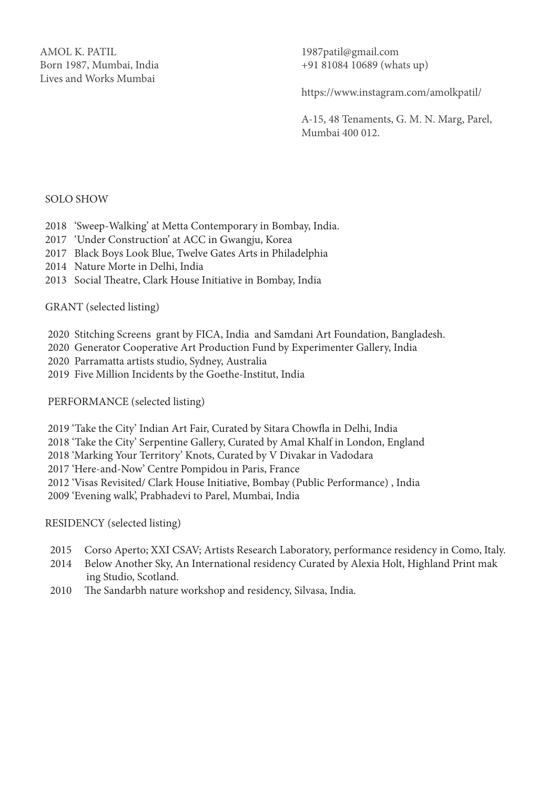AMOL K. PATIL Born 1987, Mumbai, India Lives and Works Mumbai

1987patil@gmail.com +91 81084 10689 (whats up)

https://www.instagram.com/amolkpatil/

A-15, 48 Tenaments, G. M. N. Marg, Parel, Mumbai 400 012.

#### SOLO SHOW

- 2018 'Sweep-Walking' at Metta Contemporary in Bombay, India.
- 2017 'Under Construction' at ACC in Gwangju, Korea
- 2017 Black Boys Look Blue, Twelve Gates Arts in Philadelphia
- 2014 Nature Morte in Delhi, India
- 2013 Social Theatre, Clark House Initiative in Bombay, India

GRANT (selected listing)

- 2020 Stitching Screens grant by FICA, India and Samdani Art Foundation, Bangladesh.
- 2020 Generator Cooperative Art Production Fund by Experimenter Gallery, India
- 2020 Parramatta artists studio, Sydney, Australia
- 2019 Five Million Incidents by the Goethe-Institut, India

PERFORMANCE (selected listing)

- 2019 'Take the City' Indian Art Fair, Curated by Sitara Chowfla in Delhi, India
- 2018 'Take the City' Serpentine Gallery, Curated by Amal Khalf in London, England
- 2018 'Marking Your Territory' Knots, Curated by V Divakar in Vadodara

2017 'Here-and-Now' Centre Pompidou in Paris, France

2012 'Visas Revisited/ Clark House Initiative, Bombay (Public Performance) , India

2009 'Evening walk', Prabhadevi to Parel, Mumbai, India

RESIDENCY (selected listing)

- 2015 Corso Aperto; XXI CSAV; Artists Research Laboratory, performance residency in Como, Italy.
- 2014 Below Another Sky, An International residency Curated by Alexia Holt, Highland Print mak ing Studio, Scotland.
- 2010 The Sandarbh nature workshop and residency, Silvasa, India.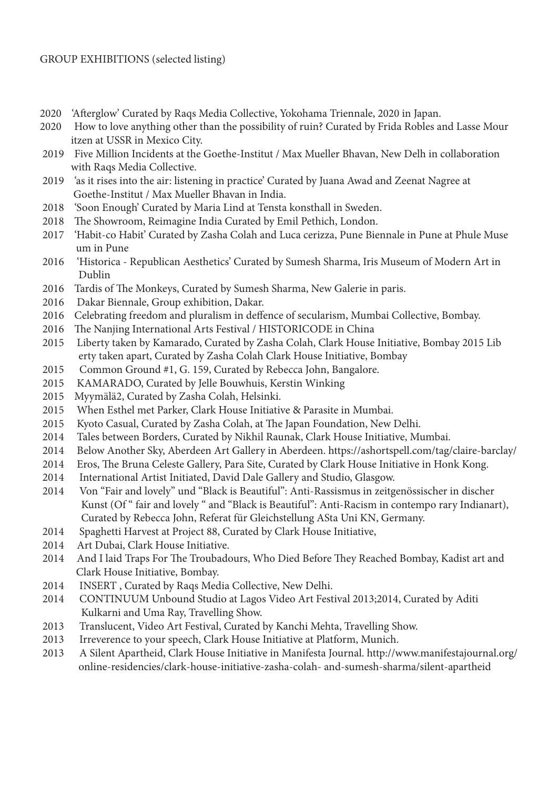- 2020 'Afterglow' Curated by Raqs Media Collective, Yokohama Triennale, 2020 in Japan.
- 2020 How to love anything other than the possibility of ruin? Curated by Frida Robles and Lasse Mour itzen at USSR in Mexico City.
- 2019 Five Million Incidents at the Goethe-Institut / Max Mueller Bhavan, New Delh in collaboration with Raqs Media Collective.
- 2019 'as it rises into the air: listening in practice' Curated by Juana Awad and Zeenat Nagree at Goethe-Institut / Max Mueller Bhavan in India.
- 2018 'Soon Enough' Curated by Maria Lind at Tensta konsthall in Sweden.
- 2018 The Showroom, Reimagine India Curated by Emil Pethich, London.
- 2017 'Habit-co Habit' Curated by Zasha Colah and Luca cerizza, Pune Biennale in Pune at Phule Muse um in Pune
- 2016 'Historica Republican Aesthetics' Curated by Sumesh Sharma, Iris Museum of Modern Art in Dublin
- 2016 Tardis of The Monkeys, Curated by Sumesh Sharma, New Galerie in paris.
- 2016 Dakar Biennale, Group exhibition, Dakar.
- 2016 Celebrating freedom and pluralism in deffence of secularism, Mumbai Collective, Bombay.
- 2016 The Nanjing International Arts Festival / HISTORICODE in China
- 2015 Liberty taken by Kamarado, Curated by Zasha Colah, Clark House Initiative, Bombay 2015 Lib erty taken apart, Curated by Zasha Colah Clark House Initiative, Bombay
- 2015 Common Ground #1, G. 159, Curated by Rebecca John, Bangalore.
- 2015 KAMARADO, Curated by Jelle Bouwhuis, Kerstin Winking
- 2015 Myymälä2, Curated by Zasha Colah, Helsinki.
- 2015 When Esthel met Parker, Clark House Initiative & Parasite in Mumbai.
- 2015 Kyoto Casual, Curated by Zasha Colah, at The Japan Foundation, New Delhi.
- 2014 Tales between Borders, Curated by Nikhil Raunak, Clark House Initiative, Mumbai.
- 2014 Below Another Sky, Aberdeen Art Gallery in Aberdeen. https://ashortspell.com/tag/claire-barclay/
- 2014 Eros, The Bruna Celeste Gallery, Para Site, Curated by Clark House Initiative in Honk Kong.
- 2014 International Artist Initiated, David Dale Gallery and Studio, Glasgow.
- 2014 Von "Fair and lovely" und "Black is Beautiful": Anti-Rassismus in zeitgenössischer in discher Kunst (Of " fair and lovely " and "Black is Beautiful": Anti-Racism in contempo rary Indianart), Curated by Rebecca John, Referat für Gleichstellung ASta Uni KN, Germany.
- 2014 Spaghetti Harvest at Project 88, Curated by Clark House Initiative,
- 2014 Art Dubai, Clark House Initiative.
- 2014 And I laid Traps For The Troubadours, Who Died Before They Reached Bombay, Kadist art and Clark House Initiative, Bombay.
- 2014 INSERT , Curated by Raqs Media Collective, New Delhi.
- 2014 CONTINUUM Unbound Studio at Lagos Video Art Festival 2013;2014, Curated by Aditi Kulkarni and Uma Ray, Travelling Show.
- 2013 Translucent, Video Art Festival, Curated by Kanchi Mehta, Travelling Show.
- 2013 Irreverence to your speech, Clark House Initiative at Platform, Munich.
- 2013 A Silent Apartheid, Clark House Initiative in Manifesta Journal. http://www.manifestajournal.org/ online-residencies/clark-house-initiative-zasha-colah- and-sumesh-sharma/silent-apartheid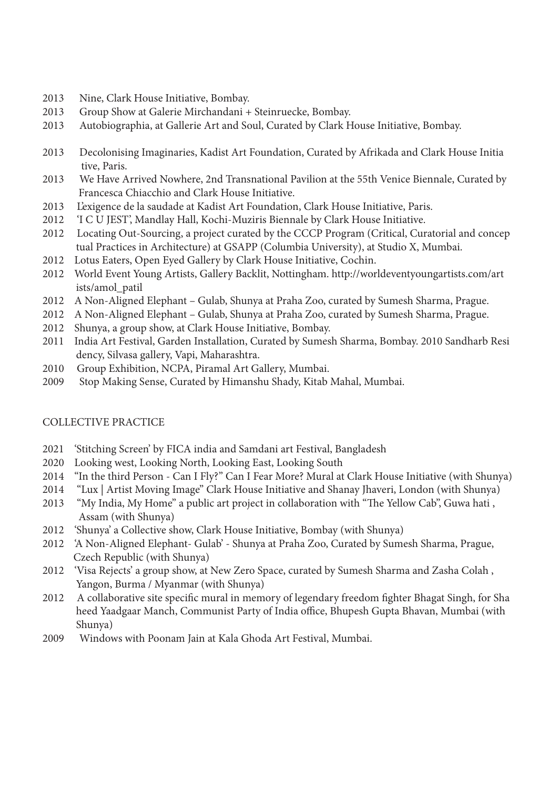- 2013 Nine, Clark House Initiative, Bombay.
- 2013 Group Show at Galerie Mirchandani + Steinruecke, Bombay.
- 2013 Autobiographia, at Gallerie Art and Soul, Curated by Clark House Initiative, Bombay.
- 2013 Decolonising Imaginaries, Kadist Art Foundation, Curated by Afrikada and Clark House Initia tive, Paris.
- 2013 We Have Arrived Nowhere, 2nd Transnational Pavilion at the 55th Venice Biennale, Curated by Francesca Chiacchio and Clark House Initiative.
- 2013 L'exigence de la saudade at Kadist Art Foundation, Clark House Initiative, Paris.
- 2012 'I C U JEST', Mandlay Hall, Kochi-Muziris Biennale by Clark House Initiative.
- 2012 Locating Out-Sourcing, a project curated by the CCCP Program (Critical, Curatorial and concep tual Practices in Architecture) at GSAPP (Columbia University), at Studio X, Mumbai.
- 2012 Lotus Eaters, Open Eyed Gallery by Clark House Initiative, Cochin.
- 2012 World Event Young Artists, Gallery Backlit, Nottingham. http://worldeventyoungartists.com/art ists/amol\_patil
- 2012 A Non-Aligned Elephant Gulab, Shunya at Praha Zoo, curated by Sumesh Sharma, Prague.
- 2012 A Non-Aligned Elephant Gulab, Shunya at Praha Zoo, curated by Sumesh Sharma, Prague.
- 2012 Shunya, a group show, at Clark House Initiative, Bombay.
- 2011 India Art Festival, Garden Installation, Curated by Sumesh Sharma, Bombay. 2010 Sandharb Resi dency, Silvasa gallery, Vapi, Maharashtra.
- 2010 Group Exhibition, NCPA, Piramal Art Gallery, Mumbai.
- 2009 Stop Making Sense, Curated by Himanshu Shady, Kitab Mahal, Mumbai.

# COLLECTIVE PRACTICE

- 2021 'Stitching Screen' by FICA india and Samdani art Festival, Bangladesh
- 2020 Looking west, Looking North, Looking East, Looking South
- 2014 "In the third Person Can I Fly?" Can I Fear More? Mural at Clark House Initiative (with Shunya)
- 2014 "Lux | Artist Moving Image" Clark House Initiative and Shanay Jhaveri, London (with Shunya)
- 2013 "My India, My Home" a public art project in collaboration with "The Yellow Cab", Guwa hati , Assam (with Shunya)
- 2012 'Shunya' a Collective show, Clark House Initiative, Bombay (with Shunya)
- 2012 'A Non-Aligned Elephant- Gulab' Shunya at Praha Zoo, Curated by Sumesh Sharma, Prague, Czech Republic (with Shunya)
- 2012 'Visa Rejects' a group show, at New Zero Space, curated by Sumesh Sharma and Zasha Colah , Yangon, Burma / Myanmar (with Shunya)
- 2012 A collaborative site specific mural in memory of legendary freedom fighter Bhagat Singh, for Sha heed Yaadgaar Manch, Communist Party of India office, Bhupesh Gupta Bhavan, Mumbai (with Shunya)
- 2009 Windows with Poonam Jain at Kala Ghoda Art Festival, Mumbai.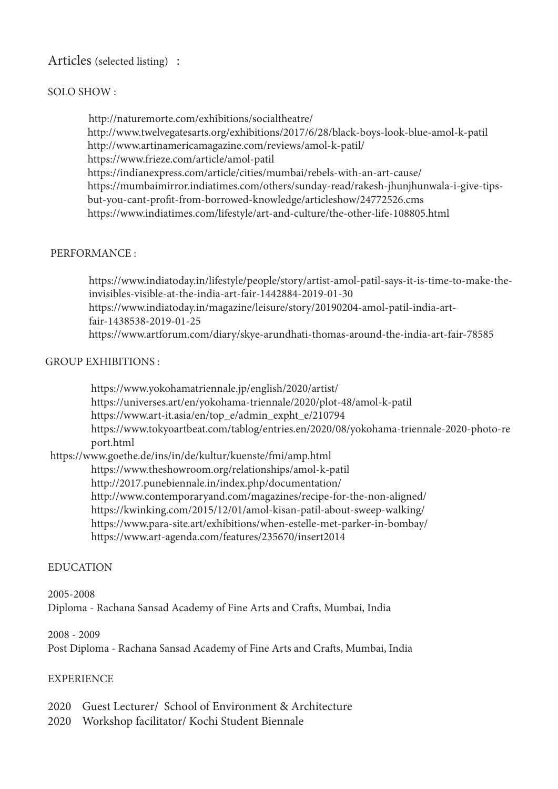# Articles (selected listing) :

## SOLO SHOW :

 http://naturemorte.com/exhibitions/socialtheatre/ http://www.twelvegatesarts.org/exhibitions/2017/6/28/black-boys-look-blue-amol-k-patil http://www.artinamericamagazine.com/reviews/amol-k-patil/ https://www.frieze.com/article/amol-patil https://indianexpress.com/article/cities/mumbai/rebels-with-an-art-cause/ https://mumbaimirror.indiatimes.com/others/sunday-read/rakesh-jhunjhunwala-i-give-tipsbut-you-cant-profit-from-borrowed-knowledge/articleshow/24772526.cms https://www.indiatimes.com/lifestyle/art-and-culture/the-other-life-108805.html

#### PERFORMANCE :

 https://www.indiatoday.in/lifestyle/people/story/artist-amol-patil-says-it-is-time-to-make-the invisibles-visible-at-the-india-art-fair-1442884-2019-01-30 https://www.indiatoday.in/magazine/leisure/story/20190204-amol-patil-india-art fair-1438538-2019-01-25 https://www.artforum.com/diary/skye-arundhati-thomas-around-the-india-art-fair-78585

## GROUP EXHIBITIONS :

 https://www.yokohamatriennale.jp/english/2020/artist/ https://universes.art/en/yokohama-triennale/2020/plot-48/amol-k-patil https://www.art-it.asia/en/top\_e/admin\_expht\_e/210794 https://www.tokyoartbeat.com/tablog/entries.en/2020/08/yokohama-triennale-2020-photo-re port.html

 https://www.goethe.de/ins/in/de/kultur/kuenste/fmi/amp.html https://www.theshowroom.org/relationships/amol-k-patil http://2017.punebiennale.in/index.php/documentation/ http://www.contemporaryand.com/magazines/recipe-for-the-non-aligned/ https://kwinking.com/2015/12/01/amol-kisan-patil-about-sweep-walking/ https://www.para-site.art/exhibitions/when-estelle-met-parker-in-bombay/ https://www.art-agenda.com/features/235670/insert2014

## EDUCATION

2005-2008 Diploma - Rachana Sansad Academy of Fine Arts and Crafts, Mumbai, India

2008 - 2009 Post Diploma - Rachana Sansad Academy of Fine Arts and Crafts, Mumbai, India

#### **EXPERIENCE**

2020 Guest Lecturer/ School of Environment & Architecture

2020 Workshop facilitator/ Kochi Student Biennale